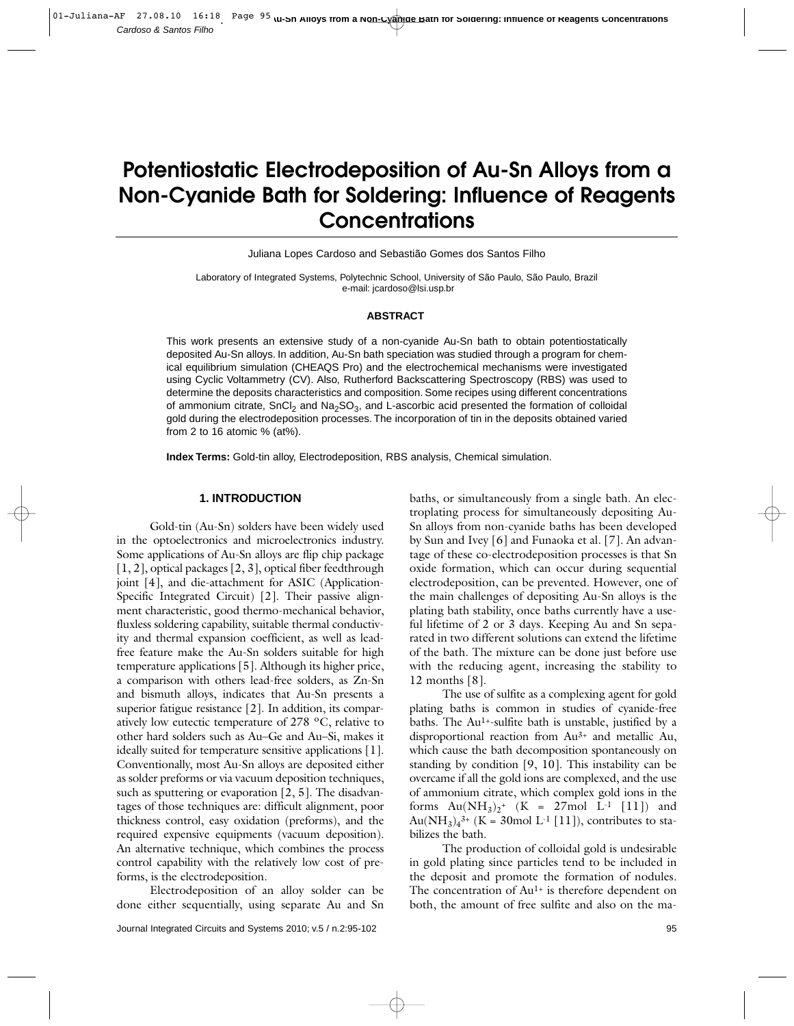# **Potentiostatic Electrodeposition of Au-Sn Alloys from a Non-Cyanide Bath for Soldering: Influence of Reagents Concentrations**

Juliana Lopes Cardoso and Sebastião Gomes dos Santos Filho

Laboratory of Integrated Systems, Polytechnic School, University of São Paulo, São Paulo, Brazil e-mail: jcardoso@lsi.usp.br

#### **ABSTRACT**

This work presents an extensive study of a non-cyanide Au-Sn bath to obtain potentiostatically deposited Au-Sn alloys. In addition, Au-Sn bath speciation was studied through a program for chemical equilibrium simulation (CHEAQS Pro) and the electrochemical mechanisms were investigated using Cyclic Voltammetry (CV). Also, Rutherford Backscattering Spectroscopy (RBS) was used to determine the deposits characteristics and composition. Some recipes using different concentrations of ammonium citrate, SnCl<sub>2</sub> and Na<sub>2</sub>SO<sub>3</sub>, and L-ascorbic acid presented the formation of colloidal gold during the electrodeposition processes. The incorporation of tin in the deposits obtained varied from 2 to 16 atomic % (at%).

**Index Terms:** Gold-tin alloy, Electrodeposition, RBS analysis, Chemical simulation.

## **1. INTRODUCTION**

Gold-tin (Au-Sn) solders have been widely used in the optoelectronics and microelectronics industry. Some applications of Au-Sn alloys are flip chip package [1, 2], optical packages [2, 3], optical fiber feedthrough joint [4], and die-attachment for ASIC (Application-Specific Integrated Circuit) [2]. Their passive alignment characteristic, good thermo-mechanical behavior, fluxless soldering capability, suitable thermal conductivity and thermal expansion coefficient, as well as leadfree feature make the Au-Sn solders suitable for high temperature applications [5]. Although its higher price, a comparison with others lead-free solders, as Zn-Sn and bismuth alloys, indicates that Au-Sn presents a superior fatigue resistance [2]. In addition, its comparatively low eutectic temperature of 278 ºC, relative to other hard solders such as Au–Ge and Au–Si, makes it ideally suited for temperature sensitive applications [1]. Conventionally, most Au-Sn alloys are deposited either as solder preforms or via vacuum deposition techniques, such as sputtering or evaporation [2, 5]. The disadvantages of those techniques are: difficult alignment, poor thickness control, easy oxidation (preforms), and the required expensive equipments (vacuum deposition). An alternative technique, which combines the process control capability with the relatively low cost of preforms, is the electrodeposition.

Electrodeposition of an alloy solder can be done either sequentially, using separate Au and Sn baths, or simultaneously from a single bath. An electroplating process for simultaneously depositing Au-Sn alloys from non-cyanide baths has been developed by Sun and Ivey [6] and Funaoka et al. [7]. An advantage of these co-electrodeposition processes is that Sn oxide formation, which can occur during sequential electrodeposition, can be prevented. However, one of the main challenges of depositing Au-Sn alloys is the plating bath stability, once baths currently have a useful lifetime of 2 or 3 days. Keeping Au and Sn separated in two different solutions can extend the lifetime of the bath. The mixture can be done just before use with the reducing agent, increasing the stability to 12 months [8].

The use of sulfite as a complexing agent for gold plating baths is common in studies of cyanide-free baths. The Au<sup>1+</sup>-sulfite bath is unstable, justified by a disproportional reaction from Au3+ and metallic Au, which cause the bath decomposition spontaneously on standing by condition [9, 10]. This instability can be overcame if all the gold ions are complexed, and the use of ammonium citrate, which complex gold ions in the forms  $Au(NH_3)_2^+$  (K = 27mol L<sup>-1</sup> [11]) and  $Au(NH_3)_4^{3+}$  (K = 30mol L<sup>-1</sup> [11]), contributes to stabilizes the bath.

The production of colloidal gold is undesirable in gold plating since particles tend to be included in the deposit and promote the formation of nodules. The concentration of Au<sup>1+</sup> is therefore dependent on both, the amount of free sulfite and also on the ma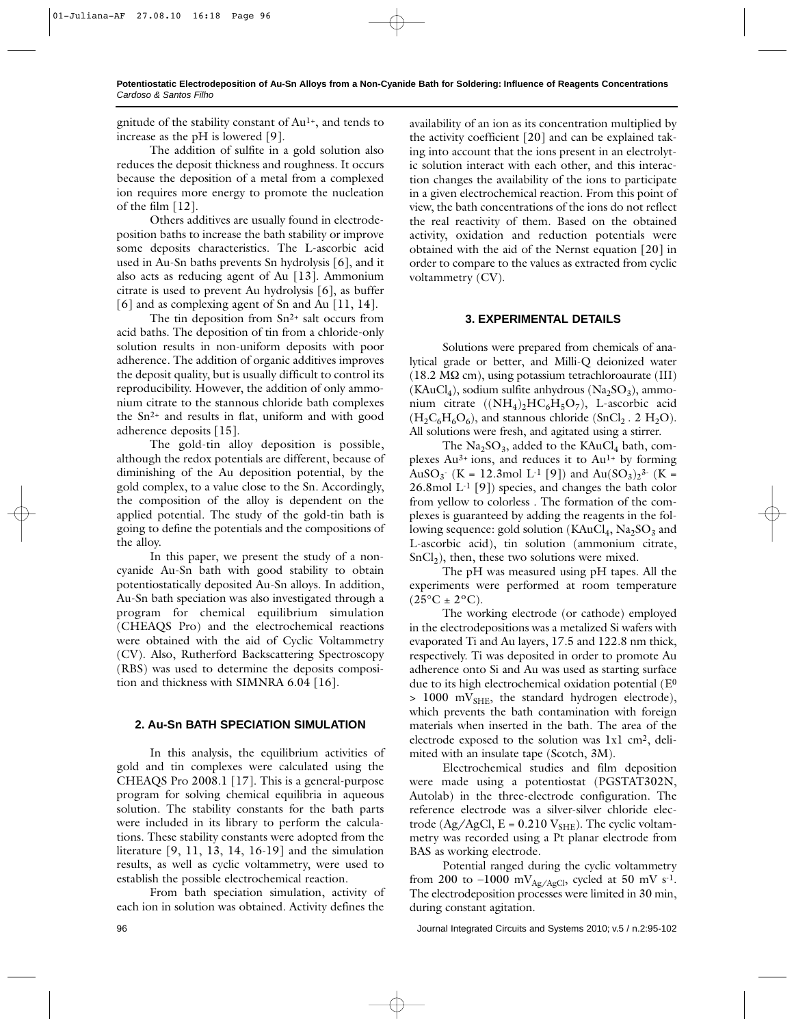gnitude of the stability constant of  $Au<sup>1+</sup>$ , and tends to increase as the pH is lowered [9].

The addition of sulfite in a gold solution also reduces the deposit thickness and roughness. It occurs because the deposition of a metal from a complexed ion requires more energy to promote the nucleation of the film [12].

Others additives are usually found in electrodeposition baths to increase the bath stability or improve some deposits characteristics. The L-ascorbic acid used in Au-Sn baths prevents Sn hydrolysis [6], and it also acts as reducing agent of Au [13]. Ammonium citrate is used to prevent Au hydrolysis [6], as buffer [6] and as complexing agent of Sn and Au [11, 14].

The tin deposition from Sn<sup>2+</sup> salt occurs from acid baths. The deposition of tin from a chloride-only solution results in non-uniform deposits with poor adherence. The addition of organic additives improves the deposit quality, but is usually difficult to control its reproducibility. However, the addition of only ammonium citrate to the stannous chloride bath complexes the Sn2+ and results in flat, uniform and with good adherence deposits [15].

The gold-tin alloy deposition is possible, although the redox potentials are different, because of diminishing of the Au deposition potential, by the gold complex, to a value close to the Sn. Accordingly, the composition of the alloy is dependent on the applied potential. The study of the gold-tin bath is going to define the potentials and the compositions of the alloy.

In this paper, we present the study of a noncyanide Au-Sn bath with good stability to obtain potentiostatically deposited Au-Sn alloys. In addition, Au-Sn bath speciation was also investigated through a program for chemical equilibrium simulation (CHEAQS Pro) and the electrochemical reactions were obtained with the aid of Cyclic Voltammetry (CV). Also, Rutherford Backscattering Spectroscopy (RBS) was used to determine the deposits composition and thickness with SIMNRA 6.04 [16].

# **2. Au-Sn BATH SPECIATION SIMULATION**

In this analysis, the equilibrium activities of gold and tin complexes were calculated using the CHEAQS Pro 2008.1 [17]. This is a general-purpose program for solving chemical equilibria in aqueous solution. The stability constants for the bath parts were included in its library to perform the calculations. These stability constants were adopted from the literature [9, 11, 13, 14, 16-19] and the simulation results, as well as cyclic voltammetry, were used to establish the possible electrochemical reaction.

From bath speciation simulation, activity of each ion in solution was obtained. Activity defines the

availability of an ion as its concentration multiplied by the activity coefficient [20] and can be explained taking into account that the ions present in an electrolytic solution interact with each other, and this interaction changes the availability of the ions to participate in a given electrochemical reaction. From this point of view, the bath concentrations of the ions do not reflect the real reactivity of them. Based on the obtained activity, oxidation and reduction potentials were obtained with the aid of the Nernst equation [20] in order to compare to the values as extracted from cyclic voltammetry (CV).

# **3. EXPERIMENTAL DETAILS**

Solutions were prepared from chemicals of analytical grade or better, and Milli-Q deionized water  $(18.2 \text{ M}\Omega \text{ cm})$ , using potassium tetrachloroaurate (III)  $(KAuCl<sub>4</sub>)$ , sodium sulfite anhydrous  $(Na<sub>2</sub>SO<sub>3</sub>)$ , ammonium citrate  $((NH_4)_2HC_6H_5O_7)$ , L-ascorbic acid  $(H_2C_6H_6O_6)$ , and stannous chloride (SnCl<sub>2</sub> . 2 H<sub>2</sub>O). All solutions were fresh, and agitated using a stirrer.

The  $\text{Na}_2\text{SO}_3$ , added to the KAuCl<sub>4</sub> bath, complexes  $Au^{3+}$  ions, and reduces it to  $Au^{1+}$  by forming AuSO<sub>3</sub><sup>-</sup> (K = 12.3mol L<sup>-1</sup> [9]) and Au(SO<sub>3</sub>)<sub>2</sub><sup>3-</sup> (K = 26.8mol  $L^1$  [9]) species, and changes the bath color from yellow to colorless . The formation of the complexes is guaranteed by adding the reagents in the following sequence: gold solution ( $KAuCl<sub>4</sub>$ ,  $Na<sub>2</sub>SO<sub>3</sub>$  and L-ascorbic acid), tin solution (ammonium citrate,  $SnCl<sub>2</sub>$ ), then, these two solutions were mixed.

The pH was measured using pH tapes. All the experiments were performed at room temperature  $(25^{\circ}C \pm 2^{\circ}C).$ 

The working electrode (or cathode) employed in the electrodepositions was a metalized Si wafers with evaporated Ti and Au layers, 17.5 and 122.8 nm thick, respectively. Ti was deposited in order to promote Au adherence onto Si and Au was used as starting surface due to its high electrochemical oxidation potential (E<sup>0</sup>  $> 1000$  mV<sub>SHE</sub>, the standard hydrogen electrode), which prevents the bath contamination with foreign materials when inserted in the bath. The area of the electrode exposed to the solution was 1x1 cm2, delimited with an insulate tape (Scotch, 3M).

Electrochemical studies and film deposition were made using a potentiostat (PGSTAT302N, Autolab) in the three-electrode configuration. The reference electrode was a silver-silver chloride electrode (Ag/AgCl,  $E = 0.210 V<sub>SHE</sub>$ ). The cyclic voltammetry was recorded using a Pt planar electrode from BAS as working electrode.

Potential ranged during the cyclic voltammetry from 200 to –1000 mV<sub>Ag/AgCl</sub>, cycled at 50 mV s<sup>-1</sup>. The electrodeposition processes were limited in 30 min, during constant agitation.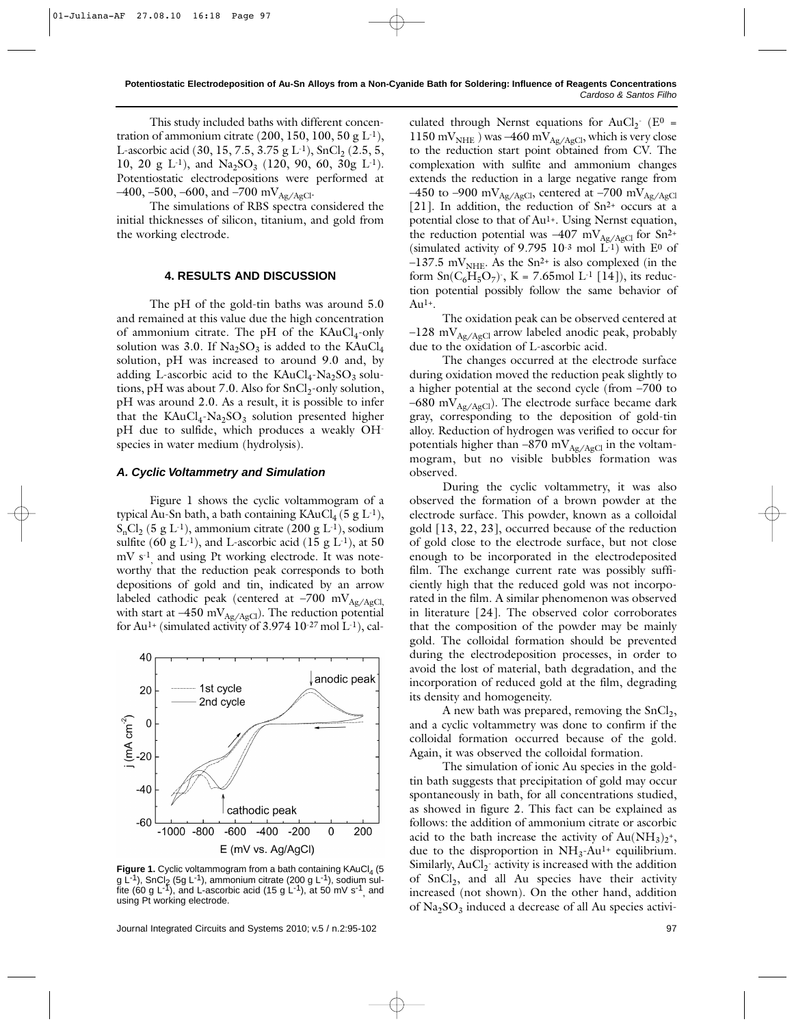This study included baths with different concentration of ammonium citrate (200, 150, 100, 50 g  $L^{-1}$ ), L-ascorbic acid (30, 15, 7.5, 3.75 g L<sup>-1</sup>), SnCl<sub>2</sub> (2.5, 5, 10, 20 g L<sup>-1</sup>), and Na<sub>2</sub>SO<sub>3</sub> (120, 90, 60, 30g L<sup>-1</sup>). Potentiostatic electrodepositions were performed at  $-400, -500, -600,$  and  $-700$  mV<sub>Ag/AgCl</sub>.

The simulations of RBS spectra considered the initial thicknesses of silicon, titanium, and gold from the working electrode.

## **4. RESULTS AND DISCUSSION**

The pH of the gold-tin baths was around 5.0 and remained at this value due the high concentration of ammonium citrate. The pH of the  $KAuCl<sub>4</sub>$ -only solution was 3.0. If  $\text{Na}_2\text{SO}_3$  is added to the KAuCl<sub>4</sub> solution, pH was increased to around 9.0 and, by adding L-ascorbic acid to the  $KAuCl<sub>4</sub>-Na<sub>2</sub>SO<sub>3</sub>$  solutions, pH was about 7.0. Also for  $SnCl<sub>2</sub>$ -only solution, pH was around 2.0. As a result, it is possible to infer that the  $KAuCl<sub>4</sub>-Na<sub>2</sub>SO<sub>3</sub>$  solution presented higher pH due to sulfide, which produces a weakly OHspecies in water medium (hydrolysis).

#### *A. Cyclic Voltammetry and Simulation*

Figure 1 shows the cyclic voltammogram of a typical Au-Sn bath, a bath containing  $KAuCl_4$  (5 g L<sup>-1</sup>),  $S_nCl_2$  (5 g L<sup>-1</sup>), ammonium citrate (200 g L<sup>-1</sup>), sodium sulfite (60 g L<sup>-1</sup>), and L-ascorbic acid (15 g L<sup>-1</sup>), at 50 mV s<sup>-1</sup> and using Pt working electrode. It was noteworthy that the reduction peak corresponds to both depositions of gold and tin, indicated by an arrow labeled cathodic peak (centered at  $-700$  mV<sub>Ag/AgCl</sub>, with start at –450 m $\rm V_{Ag/AgCl}$ ). The reduction potential for Au<sup>1+</sup> (simulated activity of  $3.974\ 10^{-27}$  mol L<sup>-1</sup>), cal-



Figure 1. Cyclic voltammogram from a bath containing KAuCl<sub>4</sub> (5 g L<sup>-1</sup>), SnCl<sub>2</sub> (5g L<sup>-1</sup>), ammonium citrate (200 g L<sup>-1</sup>), sodium sulfite (60 g L<sup>-1</sup>), and L-ascorbic acid (15 g L<sup>-1</sup>), at 50 mV s<sup>-1</sup>, and using Pt working electrode.

Journal Integrated Circuits and Systems 2010; v.5 / n.2:95-102 97

culated through Nernst equations for  $AuCl_2$ <sup>-</sup> (E<sup>0</sup> = 1150 m $V<sub>NHE</sub>$ ) was –460 m $V<sub>Ag/AgCl</sub>$ , which is very close to the reduction start point obtained from CV. The complexation with sulfite and ammonium changes extends the reduction in a large negative range from –450 to –900 mV<sub>Ag/AgCl</sub>, centered at –700 mV<sub>Ag/AgCl</sub> [21]. In addition, the reduction of Sn<sup>2+</sup> occurs at a potential close to that of Au<sup>1+</sup>. Using Nernst equation, the reduction potential was  $-407$  mV<sub>Ag/AgCl</sub> for Sn<sup>2+</sup> (simulated activity of 9.795 10<sup>-3</sup> mol  $L^{1}$ ) with E<sup>0</sup> of  $-137.5$  mV<sub>NHE</sub>. As the Sn<sup>2+</sup> is also complexed (in the form  $Sn(C_6H_5O_7)$ , K = 7.65mol L<sup>-1</sup> [14]), its reduction potential possibly follow the same behavior of Au1+.

The oxidation peak can be observed centered at  $-128$  mV<sub>Ag/AgCl</sub> arrow labeled anodic peak, probably due to the oxidation of L-ascorbic acid.

The changes occurred at the electrode surface during oxidation moved the reduction peak slightly to a higher potential at the second cycle (from –700 to –680 m $V_{Ag/AgCl}$ ). The electrode surface became dark gray, corresponding to the deposition of gold-tin alloy. Reduction of hydrogen was verified to occur for potentials higher than  $-870$  mV<sub>Ag/AgCl</sub> in the voltammogram, but no visible bubbles formation was observed.

During the cyclic voltammetry, it was also observed the formation of a brown powder at the electrode surface. This powder, known as a colloidal gold [13, 22, 23], occurred because of the reduction of gold close to the electrode surface, but not close enough to be incorporated in the electrodeposited film. The exchange current rate was possibly sufficiently high that the reduced gold was not incorporated in the film. A similar phenomenon was observed in literature [24]. The observed color corroborates that the composition of the powder may be mainly gold. The colloidal formation should be prevented during the electrodeposition processes, in order to avoid the lost of material, bath degradation, and the incorporation of reduced gold at the film, degrading its density and homogeneity.

A new bath was prepared, removing the  $SnCl<sub>2</sub>$ , and a cyclic voltammetry was done to confirm if the colloidal formation occurred because of the gold. Again, it was observed the colloidal formation.

The simulation of ionic Au species in the goldtin bath suggests that precipitation of gold may occur spontaneously in bath, for all concentrations studied, as showed in figure 2. This fact can be explained as follows: the addition of ammonium citrate or ascorbic acid to the bath increase the activity of  $Au(NH_3)_2^*$ , due to the disproportion in  $NH<sub>3</sub>-Au<sup>1+</sup>$  equilibrium. Similarly,  $AuCl_2^-$  activity is increased with the addition of  $SnCl<sub>2</sub>$ , and all Au species have their activity increased (not shown). On the other hand, addition of  $\text{Na}_2\text{SO}_3$  induced a decrease of all Au species activi-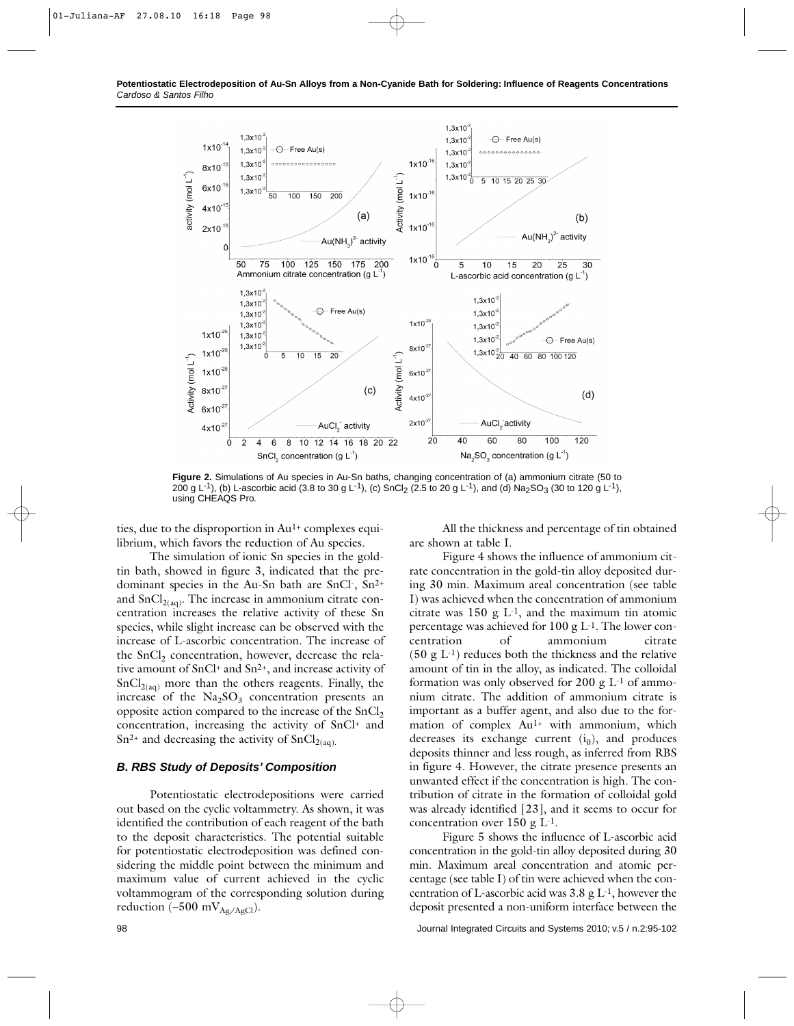

**Figure 2.** Simulations of Au species in Au-Sn baths, changing concentration of (a) ammonium citrate (50 to 200 g L<sup>-1</sup>), (b) L-ascorbic acid (3.8 to 30 g L<sup>-1</sup>), (c) SnCl<sub>2</sub> (2.5 to 20 g L<sup>-1</sup>), and (d) Na<sub>2</sub>SO<sub>3</sub> (30 to 120 g L<sup>-1</sup>), using CHEAQS Pro.

ties, due to the disproportion in  $Au<sup>1+</sup>$  complexes equilibrium, which favors the reduction of Au species.

All the thickness and percentage of tin obtained are shown at table I.

Figure 4 shows the influence of ammonium citrate concentration in the gold-tin alloy deposited dur-

The simulation of ionic Sn species in the goldtin bath, showed in figure 3, indicated that the predominant species in the Au-Sn bath are SnCl-, Sn2+ and  $SnCl<sub>2(aq)</sub>$ . The increase in ammonium citrate concentration increases the relative activity of these Sn species, while slight increase can be observed with the increase of L-ascorbic concentration. The increase of the  $SnCl<sub>2</sub>$  concentration, however, decrease the relative amount of SnCl+ and Sn2+, and increase activity of  $SnCl<sub>2(aq)</sub>$  more than the others reagents. Finally, the increase of the  $Na<sub>2</sub>SO<sub>3</sub>$  concentration presents an opposite action compared to the increase of the SnCl<sub>2</sub> concentration, increasing the activity of SnCl+ and  $Sn^{2+}$  and decreasing the activity of  $SnCl_{2(aq)}$ .

## *B. RBS Study of Deposits' Composition*

Potentiostatic electrodepositions were carried out based on the cyclic voltammetry. As shown, it was identified the contribution of each reagent of the bath to the deposit characteristics. The potential suitable for potentiostatic electrodeposition was defined considering the middle point between the minimum and maximum value of current achieved in the cyclic voltammogram of the corresponding solution during reduction ( $-500$  mV $_{Ag/AgCl}$ ).

ing 30 min. Maximum areal concentration (see table I) was achieved when the concentration of ammonium citrate was  $150 \text{ g L}^{-1}$ , and the maximum tin atomic percentage was achieved for  $100 \text{ g L}^{-1}$ . The lower concentration of ammonium citrate  $(50 \text{ g L}^{-1})$  reduces both the thickness and the relative amount of tin in the alloy, as indicated. The colloidal formation was only observed for 200 g L-1 of ammonium citrate. The addition of ammonium citrate is important as a buffer agent, and also due to the formation of complex Au<sup>1+</sup> with ammonium, which decreases its exchange current  $(i_0)$ , and produces deposits thinner and less rough, as inferred from RBS in figure 4. However, the citrate presence presents an unwanted effect if the concentration is high. The contribution of citrate in the formation of colloidal gold was already identified [23], and it seems to occur for concentration over 150 g L-1.

Figure 5 shows the influence of L-ascorbic acid concentration in the gold-tin alloy deposited during 30 min. Maximum areal concentration and atomic percentage (see table I) of tin were achieved when the concentration of L-ascorbic acid was  $3.8 \text{ g L}^{-1}$ , however the deposit presented a non-uniform interface between the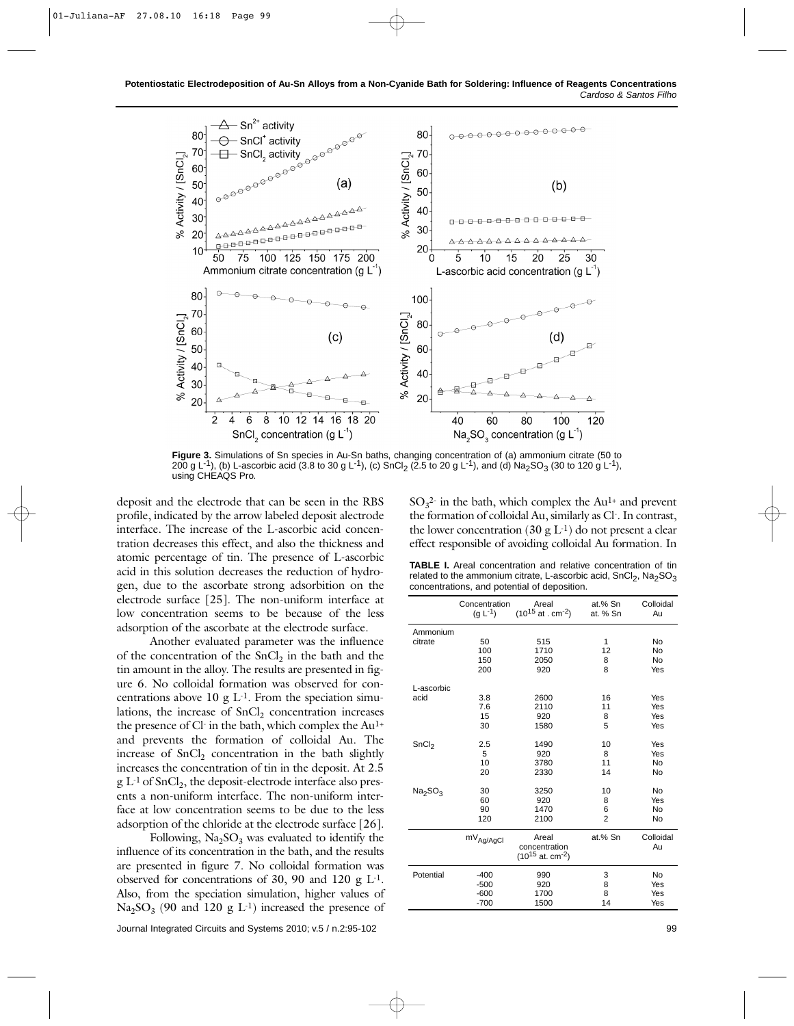

**Figure 3.** Simulations of Sn species in Au-Sn baths, changing concentration of (a) ammonium citrate (50 to 200 g L<sup>-1</sup>), (b) L-ascorbic acid (3.8 to 30 g L<sup>-1</sup>), (c) SnCl<sub>2</sub> (2.5 to 20 g L<sup>-1</sup>), and (d) Na<sub>2</sub>SO<sub>3</sub> (30 to 120 g L<sup>-1</sup>), using CHEAQS Pro.

deposit and the electrode that can be seen in the RBS profile, indicated by the arrow labeled deposit alectrode interface. The increase of the L-ascorbic acid concentration decreases this effect, and also the thickness and atomic percentage of tin. The presence of L-ascorbic acid in this solution decreases the reduction of hydrogen, due to the ascorbate strong adsorbition on the electrode surface [25]. The non-uniform interface at low concentration seems to be because of the less adsorption of the ascorbate at the electrode surface.

Another evaluated parameter was the influence of the concentration of the  $SnCl<sub>2</sub>$  in the bath and the tin amount in the alloy. The results are presented in figure 6. No colloidal formation was observed for concentrations above  $10 \text{ g L}$ <sup>1</sup>. From the speciation simulations, the increase of  $SnCl<sub>2</sub>$  concentration increases the presence of Cl- in the bath, which complex the Au1+ and prevents the formation of colloidal Au. The increase of  $SnCl<sub>2</sub>$  concentration in the bath slightly increases the concentration of tin in the deposit. At 2.5  $g L<sup>-1</sup>$  of SnCl<sub>2</sub>, the deposit-electrode interface also presents a non-uniform interface. The non-uniform interface at low concentration seems to be due to the less adsorption of the chloride at the electrode surface [26].

Following,  $Na<sub>2</sub>SO<sub>3</sub>$  was evaluated to identify the influence of its concentration in the bath, and the results are presented in figure 7. No colloidal formation was observed for concentrations of 30, 90 and 120 g  $L<sup>1</sup>$ . Also, from the speciation simulation, higher values of  $Na<sub>2</sub>SO<sub>3</sub>$  (90 and 120 g L<sup>-1</sup>) increased the presence of

 $SO_3^2$  in the bath, which complex the  $Au^{1+}$  and prevent the formation of colloidal Au, similarly as Cl-. In contrast, the lower concentration (30 g  $L^{-1}$ ) do not present a clear effect responsible of avoiding colloidal Au formation. In

**TABLE I.** Areal concentration and relative concentration of tin related to the ammonium citrate, L-ascorbic acid,  $SnCl<sub>2</sub>$ , Na<sub>2</sub>SO<sub>3</sub> concentrations, and potential of deposition.

|                                 | Concentration           | Areal                                                       | at.% Sn            | Colloidal                |
|---------------------------------|-------------------------|-------------------------------------------------------------|--------------------|--------------------------|
|                                 | $(g L^{-1})$            | $(10^{15}$ at . cm <sup>-2</sup> )                          | at. % Sn           | Au                       |
| Ammonium<br>citrate             | 50<br>100<br>150<br>200 | 515<br>1710<br>2050<br>920                                  | 1<br>12<br>8<br>8  | No<br>No<br>No<br>Yes    |
| L-ascorbic<br>acid              | 3.8<br>7.6<br>15<br>30  | 2600<br>2110<br>920<br>1580                                 | 16<br>11<br>8<br>5 | Yes<br>Yes<br>Yes<br>Yes |
| SnCl <sub>2</sub>               | 2.5                     | 1490                                                        | 10                 | Yes                      |
|                                 | 5                       | 920                                                         | 8                  | Yes                      |
|                                 | 10                      | 3780                                                        | 11                 | No                       |
|                                 | 20                      | 2330                                                        | 14                 | No                       |
| Na <sub>2</sub> SO <sub>3</sub> | 30                      | 3250                                                        | 10                 | No                       |
|                                 | 60                      | 920                                                         | 8                  | Yes                      |
|                                 | 90                      | 1470                                                        | 6                  | No                       |
|                                 | 120                     | 2100                                                        | $\overline{2}$     | No                       |
|                                 | $mV_{Ag/AgCl}$          | Areal<br>concentration<br>$(10^{15}$ at. cm <sup>-2</sup> ) | at.% Sn            | Colloidal<br>Au          |
| Potential                       | $-400$                  | 990                                                         | 3                  | No                       |
|                                 | $-500$                  | 920                                                         | 8                  | Yes                      |
|                                 | $-600$                  | 1700                                                        | 8                  | Yes                      |
|                                 | $-700$                  | 1500                                                        | 14                 | Yes                      |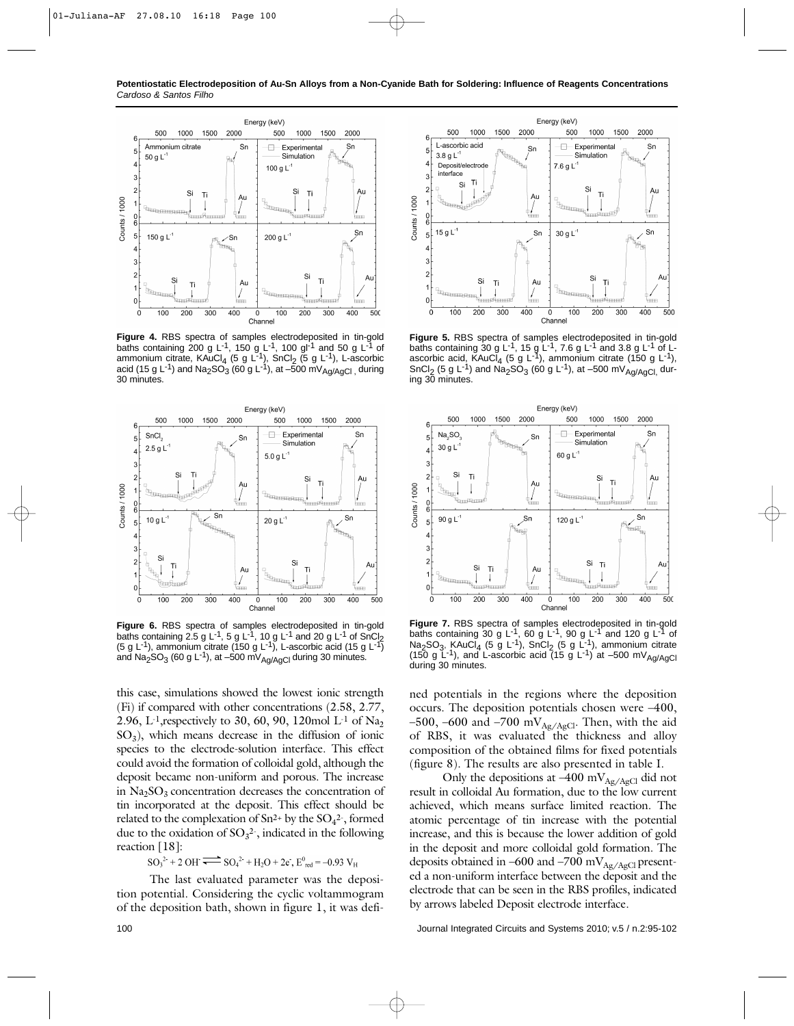**Potentiostatic Electrodeposition of Au-Sn Alloys from a Non-Cyanide Bath for Soldering: Influence of Reagents Concentrations** *Cardoso & Santos Filho*



**Figure 4.** RBS spectra of samples electrodeposited in tin-gold baths containing 200 g L<sup>-1</sup>, 150 g L<sup>-1</sup>, 100 gl<sup>-1</sup> and 50 g L<sup>-1</sup> of ammonium citrate, KAuCl<sub>4</sub> (5 g L<sup>-1</sup>), SnCl<sub>2</sub> (5 g L<sup>-1</sup>), L-ascorbic acid (15 g L<sup>-1</sup>) and Na<sub>2</sub>SO<sub>3</sub> (60 g L<sup>-1</sup>), at –500 mV<sub>Ag/AgCl</sub> during 30 minutes.



**Figure 6.** RBS spectra of samples electrodeposited in tin-gold baths containing 2.5 g L<sup>-1</sup>, 5 g L<sup>-1</sup>, 10 g L<sup>-1</sup> and 20 g L<sup>-1</sup> of SnCl<sub>2</sub> (5 g L<sup>-1</sup>), ammonium citrate (150 g L<sup>-1</sup>), L-ascorbic acid (15 g L<sup>-1</sup>) and Na<sub>2</sub>SO<sub>3</sub> (60 g L<sup>-1</sup>), at -500 mV<sub>Aq/AqCl</sub> during 30 minutes.

this case, simulations showed the lowest ionic strength (Fi) if compared with other concentrations (2.58, 2.77, 2.96, L<sup>-1</sup>, respectively to 30, 60, 90, 120mol L<sup>-1</sup> of Na<sub>2</sub>  $SO<sub>3</sub>$ ), which means decrease in the diffusion of ionic species to the electrode-solution interface. This effect could avoid the formation of colloidal gold, although the deposit became non-uniform and porous. The increase in  $Na<sub>2</sub>SO<sub>3</sub>$  concentration decreases the concentration of tin incorporated at the deposit. This effect should be related to the complexation of  $Sn^{2+}$  by the  $SO_4^2$ <sup>-</sup>, formed due to the oxidation of  $SO_3^2$ , indicated in the following reaction [18]:

 $SO_3^{2+}$  + 2 OH  $\overline{\bullet}$   $SO_4^{2+}$  + H<sub>2</sub>O + 2e<sup>-</sup>, E<sup>0</sup><sub>red</sub> = -0.93 V<sub>H</sub>

The last evaluated parameter was the deposition potential. Considering the cyclic voltammogram of the deposition bath, shown in figure 1, it was defi-



**Figure 5.** RBS spectra of samples electrodeposited in tin-gold<br>baths containing 30 g L<sup>-1</sup>, 15 g L<sup>-1</sup>, 7.6 g L<sup>-1</sup> and 3.8 g L<sup>-1</sup> of Lascorbic acid, KAuCl<sub>4</sub> (5 g L<sup>-1</sup>), ammonium citrate (150 g L<sup>-1</sup>), SnCl<sub>2</sub> (5 g L<sup>-1</sup>) and Na<sub>2</sub>SO<sub>3</sub> (60 g L<sup>-1</sup>), at –500 mV<sub>Ag/AgCl,</sub> during 30 minutes.



**Figure 7.** RBS spectra of samples electrodeposited in tin-gold baths containing 30 g L<sup>-1</sup>, 60 g L<sup>-1</sup>, 90 g L<sup>-1</sup> and 120 g L<sup>-1</sup> of  $Na<sub>2</sub>SO<sub>3</sub>$ , KAuCl<sub>4</sub> (5 g L<sup>-1</sup>), SnCl<sub>2</sub> (5 g L<sup>-1</sup>), ammonium citrate (150 g  $\angle$ -1), and  $\angle$ -ascorbic acid (15 g  $\angle$ -1) at -500 mV<sub>Ag/AgCl</sub> during 30 minutes.

ned potentials in the regions where the deposition occurs. The deposition potentials chosen were –400, –500, –600 and –700 mV<sub>Ag/AgCl</sub>. Then, with the aid of RBS, it was evaluated the thickness and alloy composition of the obtained films for fixed potentials (figure 8). The results are also presented in table I.

Only the depositions at  $-400$  mV<sub>Ag/AgCl</sub> did not result in colloidal Au formation, due to the low current achieved, which means surface limited reaction. The atomic percentage of tin increase with the potential increase, and this is because the lower addition of gold in the deposit and more colloidal gold formation. The deposits obtained in –600 and –700 m $V_{\text{Ag/AgCl}}$  presented a non-uniform interface between the deposit and the electrode that can be seen in the RBS profiles, indicated by arrows labeled Deposit electrode interface.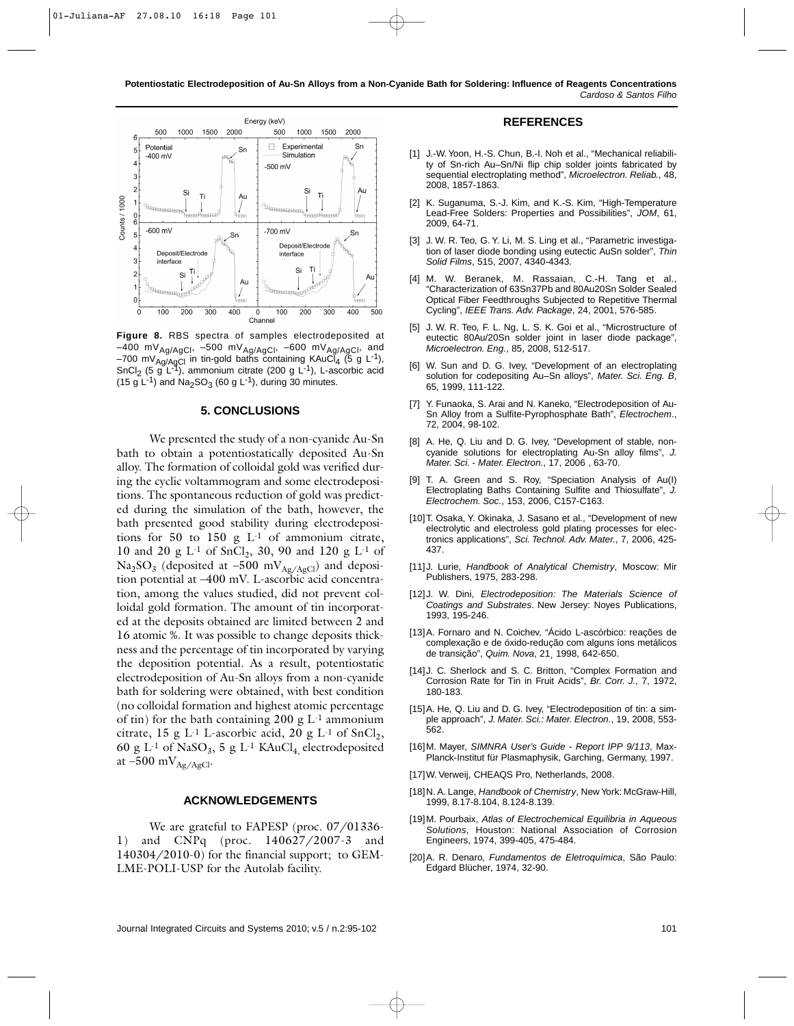

**Figure 8.** RBS spectra of samples electrodeposited at  $-400$  mV<sub>Ag/AgCl</sub>,  $-500$  mV<sub>Ag/AgCl</sub>,  $-600$  mV<sub>Ag/AgCl</sub>, and  $-700$  mV<sub>Ag/AgCl</sub> in tin-gold baths containing KAuCl<sub>4</sub> (5 g L<sup>-1</sup>), SnCl<sub>2</sub> (5 g L<sup>-1</sup>), ammonium citrate (200 g L<sup>-1</sup>), L-ascorbic acid (15 g L<sup>-1</sup>) and Na<sub>2</sub>SO<sub>3</sub> (60 g L<sup>-1</sup>), during 30 minutes.

#### **5. CONCLUSIONS**

We presented the study of a non-cyanide Au-Sn bath to obtain a potentiostatically deposited Au-Sn alloy. The formation of colloidal gold was verified during the cyclic voltammogram and some electrodepositions. The spontaneous reduction of gold was predicted during the simulation of the bath, however, the bath presented good stability during electrodepositions for 50 to 150 g L-1 of ammonium citrate, 10 and 20 g  $L^{-1}$  of SnCl<sub>2</sub>, 30, 90 and 120 g  $L^{-1}$  of  $Na<sub>2</sub>SO<sub>3</sub>$  (deposited at –500 mV<sub>Ag/AgCl</sub>) and deposition potential at –400 mV. L-ascorbic acid concentration, among the values studied, did not prevent colloidal gold formation. The amount of tin incorporated at the deposits obtained are limited between 2 and 16 atomic %. It was possible to change deposits thickness and the percentage of tin incorporated by varying the deposition potential. As a result, potentiostatic electrodeposition of Au-Sn alloys from a non-cyanide bath for soldering were obtained, with best condition (no colloidal formation and highest atomic percentage of tin) for the bath containing 200 g  $L<sup>-1</sup>$  ammonium citrate, 15 g L<sup>-1</sup> L-ascorbic acid, 20 g L<sup>-1</sup> of SnCl<sub>2</sub>, 60 g L<sup>-1</sup> of NaSO<sub>3</sub>, 5 g L<sup>-1</sup> KAuCl<sub>4</sub> electrodeposited at  $-500$  mV $_{Ag/AgCl}$ .

#### **ACKNOWLEDGEMENTS**

We are grateful to FAPESP (proc. 07/01336-1) and CNPq (proc. 140627/2007-3 and 140304/2010-0) for the financial support; to GEM-LME-POLI-USP for the Autolab facility.

#### **REFERENCES**

- [1] J.-W. Yoon, H.-S. Chun, B.-I. Noh et al., "Mechanical reliability of Sn-rich Au–Sn/Ni flip chip solder joints fabricated by sequential electroplating method", *Microelectron. Reliab.*, 48, 2008, 1857-1863.
- [2] K. Suganuma, S.-J. Kim, and K.-S. Kim, "High-Temperature Lead-Free Solders: Properties and Possibilities", *JOM*, 61, 2009, 64-71.
- [3] J. W. R. Teo, G. Y. Li, M. S. Ling et al., "Parametric investigation of laser diode bonding using eutectic AuSn solder", *Thin Solid Films*, 515, 2007, 4340-4343.
- [4] M. W. Beranek, M. Rassaian, C.-H. Tang et al., "Characterization of 63Sn37Pb and 80Au20Sn Solder Sealed Optical Fiber Feedthroughs Subjected to Repetitive Thermal Cycling", *IEEE Trans. Adv. Package*, 24, 2001, 576-585.
- [5] J. W. R. Teo, F. L. Ng, L. S. K. Goi et al., "Microstructure of eutectic 80Au/20Sn solder joint in laser diode package", *Microelectron. Eng.*, 85, 2008, 512-517.
- [6] W. Sun and D. G. Ivey, "Development of an electroplating solution for codepositing Au–Sn alloys", *Mater. Sci. Eng. B*, 65, 1999, 111-122.
- [7] Y. Funaoka, S. Arai and N. Kaneko, "Electrodeposition of Au-Sn Alloy from a Sulfite-Pyrophosphate Bath", *Electrochem*., 72, 2004, 98-102.
- [8] A. He, Q. Liu and D. G. Ivey, "Development of stable, noncyanide solutions for electroplating Au-Sn alloy films", *J. Mater. Sci. - Mater. Electron.*, 17, 2006 , 63-70.
- [9] T. A. Green and S. Roy, "Speciation Analysis of Au(I) Electroplating Baths Containing Sulfite and Thiosulfate", *J. Electrochem. Soc.*, 153, 2006, C157-C163.
- [10]T. Osaka, Y. Okinaka, J. Sasano et al., "Development of new electrolytic and electroless gold plating processes for electronics applications", *Sci. Technol. Adv. Mater.*, 7, 2006, 425- 437.
- [11]J. Lurie, *Handbook of Analytical Chemistry*, Moscow: Mir Publishers, 1975, 283-298.
- [12]J. W. Dini, *Electrodeposition: The Materials Science of Coatings and Substrates*. New Jersey: Noyes Publications, 1993, 195-246.
- [13]A. Fornaro and N. Coichev, "Ácido L-ascórbico: reações de complexação e de óxido-redução com alguns íons metálicos de transição", *Quim. Nova*, 21¸ 1998, 642-650.
- [14] J. C. Sherlock and S. C. Britton, "Complex Formation and Corrosion Rate for Tin in Fruit Acids", *Br. Corr. J.*, 7, 1972, 180-183.
- [15]A. He, Q. Liu and D. G. Ivey, "Electrodeposition of tin: a simple approach", *J. Mater. Sci.: Mater. Electron.*, 19, 2008, 553- 562.
- [16]M. Mayer, *SIMNRA User's Guide Report IPP 9/113*, Max-Planck-Institut für Plasmaphysik, Garching, Germany, 1997.
- [17]W. Verweij, CHEAQS Pro, Netherlands, 2008.
- [18]N. A. Lange, *Handbook of Chemistry*, New York: McGraw-Hill, 1999, 8.17-8.104, 8.124-8.139.
- [19]M. Pourbaix, *Atlas of Electrochemical Equilibria in Aqueous Solutions*, Houston: National Association of Corrosion Engineers, 1974, 399-405, 475-484.
- [20]A. R. Denaro, *Fundamentos de Eletroquímica*, São Paulo: Edgard Blücher, 1974, 32-90.